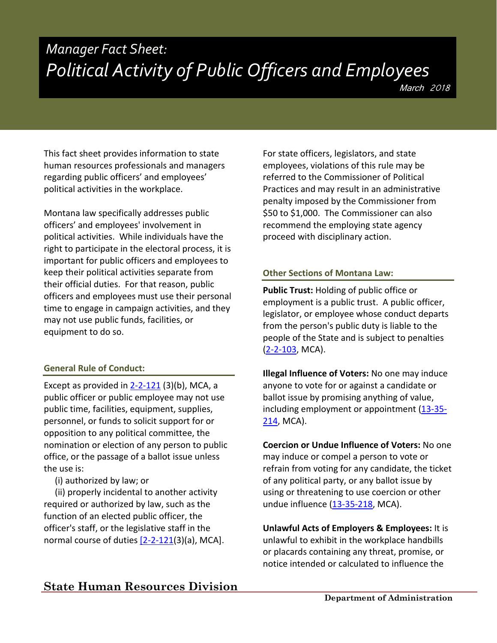# *Manager Fact Sheet: Political Activity of Public Officers and Employees*

This fact sheet provides information to state human resources professionals and managers regarding public officers' and employees' political activities in the workplace.

Montana law specifically addresses public officers' and employees' involvement in political activities. While individuals have the right to participate in the electoral process, it is important for public officers and employees to keep their political activities separate from their official duties. For that reason, public officers and employees must use their personal time to engage in campaign activities, and they may not use public funds, facilities, or equipment to do so.

#### **General Rule of Conduct:**

Except as provided in  $2-2-121$  (3)(b), MCA, a public officer or public employee may not use public time, facilities, equipment, supplies, personnel, or funds to solicit support for or opposition to any political committee, the nomination or election of any person to public office, or the passage of a ballot issue unless the use is:

(i) authorized by law; or

 (ii) properly incidental to another activity required or authorized by law, such as the function of an elected public officer, the officer's staff, or the legislative staff in the normal course of duties [\[2-2-121\(](http://leg.mt.gov/bills/mca/title_0020/chapter_0020/part_0010/section_0210/0020-0020-0010-0210.html)3)(a), MCA]. For state officers, legislators, and state employees, violations of this rule may be referred to the Commissioner of Political Practices and may result in an administrative penalty imposed by the Commissioner from \$50 to \$1,000. The Commissioner can also recommend the employing state agency proceed with disciplinary action.

#### **Other Sections of Montana Law:**

**Public Trust:** Holding of public office or employment is a public trust. A public officer, legislator, or employee whose conduct departs from the person's public duty is liable to the people of the State and is subject to penalties [\(2-2-103,](http://leg.mt.gov/bills/mca/title_0020/chapter_0020/part_0010/section_0030/0020-0020-0010-0030.html) MCA).

**Illegal Influence of Voters:** No one may induce anyone to vote for or against a candidate or ballot issue by promising anything of value, including employment or appointment [\(13-35-](http://leg.mt.gov/bills/mca/title_0130/chapter_0350/part_0020/section_0140/0130-0350-0020-0140.html) [214,](http://leg.mt.gov/bills/mca/title_0130/chapter_0350/part_0020/section_0140/0130-0350-0020-0140.html) MCA).

**Coercion or Undue Influence of Voters:** No one may induce or compel a person to vote or refrain from voting for any candidate, the ticket of any political party, or any ballot issue by using or threatening to use coercion or other undue influence  $(13-35-218, MCA)$  $(13-35-218, MCA)$ .

**Unlawful Acts of Employers & Employees:** It is unlawful to exhibit in the workplace handbills or placards containing any threat, promise, or notice intended or calculated to influence the

## **State Human Resources Division**